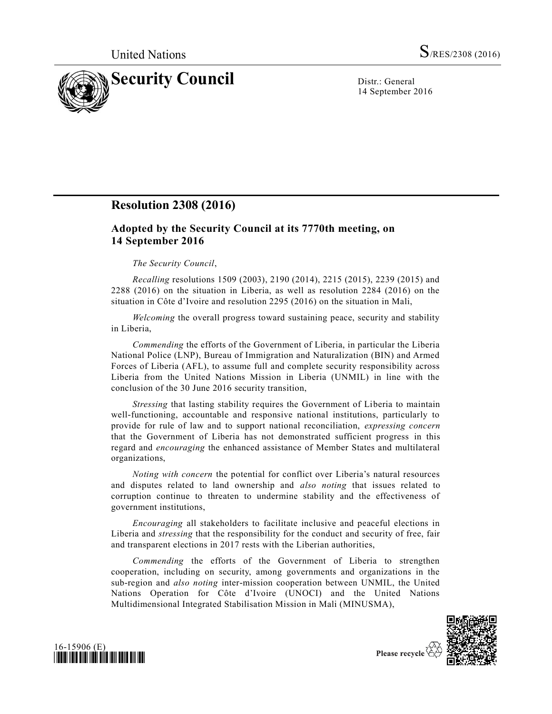

14 September 2016

## **Resolution 2308 (2016)**

## **Adopted by the Security Council at its 7770th meeting, on 14 September 2016**

## *The Security Council*,

*Recalling* resolutions 1509 (2003), 2190 (2014), 2215 (2015), 2239 (2015) and 2288 (2016) on the situation in Liberia, as well as resolution 2284 (2016) on the situation in Côte d'Ivoire and resolution 2295 (2016) on the situation in Mali,

*Welcoming* the overall progress toward sustaining peace, security and stability in Liberia,

*Commending* the efforts of the Government of Liberia, in particular the Liberia National Police (LNP), Bureau of Immigration and Naturalization (BIN) and Armed Forces of Liberia (AFL), to assume full and complete security responsibility across Liberia from the United Nations Mission in Liberia (UNMIL) in line with the conclusion of the 30 June 2016 security transition,

*Stressing* that lasting stability requires the Government of Liberia to maintain well-functioning, accountable and responsive national institutions, particularly to provide for rule of law and to support national reconciliation, *expressing concern* that the Government of Liberia has not demonstrated sufficient progress in this regard and *encouraging* the enhanced assistance of Member States and multilateral organizations,

*Noting with concern* the potential for conflict over Liberia's natural resources and disputes related to land ownership and *also noting* that issues related to corruption continue to threaten to undermine stability and the effectiveness of government institutions,

*Encouraging* all stakeholders to facilitate inclusive and peaceful elections in Liberia and *stressing* that the responsibility for the conduct and security of free, fair and transparent elections in 2017 rests with the Liberian authorities,

*Commending* the efforts of the Government of Liberia to strengthen cooperation, including on security, among governments and organizations in the sub-region and *also noting* inter-mission cooperation between UNMIL, the United Nations Operation for Côte d'Ivoire (UNOCI) and the United Nations Multidimensional Integrated Stabilisation Mission in Mali (MINUSMA),